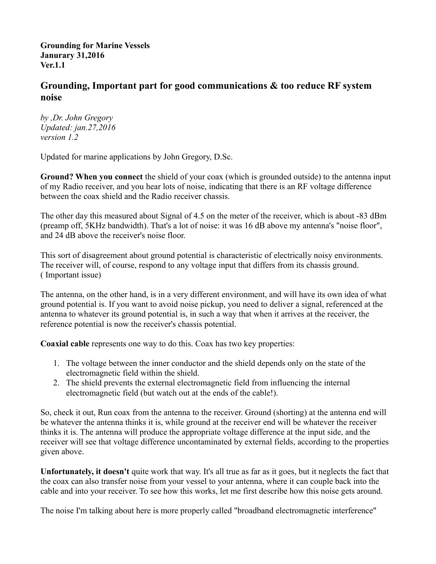**Grounding for Marine Vessels Janurary 31,2016 Ver.1.1**

## **Grounding, Important part for good communications & too reduce RF system noise**

*by ,Dr. John Gregory Updated: jan.27,2016 version 1.2*

Updated for marine applications by John Gregory, D.Sc.

**Ground? When you connect** the shield of your coax (which is grounded outside) to the antenna input of my Radio receiver, and you hear lots of noise, indicating that there is an RF voltage difference between the coax shield and the Radio receiver chassis.

The other day this measured about Signal of 4.5 on the meter of the receiver, which is about -83 dBm (preamp off, 5KHz bandwidth). That's a lot of noise: it was 16 dB above my antenna's "noise floor", and 24 dB above the receiver's noise floor.

This sort of disagreement about ground potential is characteristic of electrically noisy environments. The receiver will, of course, respond to any voltage input that differs from its chassis ground. ( Important issue)

The antenna, on the other hand, is in a very different environment, and will have its own idea of what ground potential is. If you want to avoid noise pickup, you need to deliver a signal, referenced at the antenna to whatever its ground potential is, in such a way that when it arrives at the receiver, the reference potential is now the receiver's chassis potential.

**Coaxial cable** represents one way to do this. Coax has two key properties:

- 1. The voltage between the inner conductor and the shield depends only on the state of the electromagnetic field within the shield.
- 2. The shield prevents the external electromagnetic field from influencing the internal electromagnetic field (but watch out at the ends of the cable!).

So, check it out, Run coax from the antenna to the receiver. Ground (shorting) at the antenna end will be whatever the antenna thinks it is, while ground at the receiver end will be whatever the receiver thinks it is. The antenna will produce the appropriate voltage difference at the input side, and the receiver will see that voltage difference uncontaminated by external fields, according to the properties given above.

**Unfortunately, it doesn't** quite work that way. It's all true as far as it goes, but it neglects the fact that the coax can also transfer noise from your vessel to your antenna, where it can couple back into the cable and into your receiver. To see how this works, let me first describe how this noise gets around.

The noise I'm talking about here is more properly called "broadband electromagnetic interference"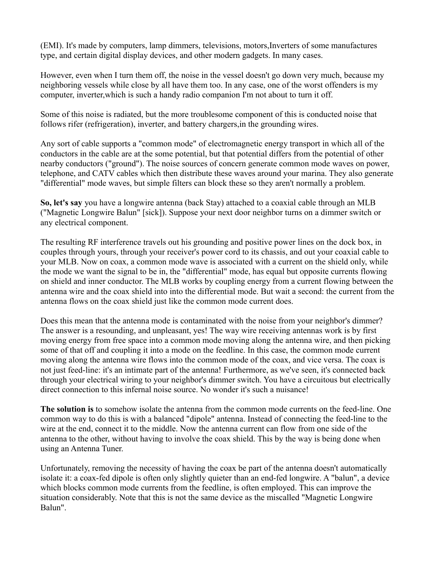(EMI). It's made by computers, lamp dimmers, televisions, motors,Inverters of some manufactures type, and certain digital display devices, and other modern gadgets. In many cases.

However, even when I turn them off, the noise in the vessel doesn't go down very much, because my neighboring vessels while close by all have them too. In any case, one of the worst offenders is my computer, inverter,which is such a handy radio companion I'm not about to turn it off.

Some of this noise is radiated, but the more troublesome component of this is conducted noise that follows rifer (refrigeration), inverter, and battery chargers,in the grounding wires.

Any sort of cable supports a "common mode" of electromagnetic energy transport in which all of the conductors in the cable are at the some potential, but that potential differs from the potential of other nearby conductors ("ground"). The noise sources of concern generate common mode waves on power, telephone, and CATV cables which then distribute these waves around your marina. They also generate "differential" mode waves, but simple filters can block these so they aren't normally a problem.

**So, let's say** you have a longwire antenna (back Stay) attached to a coaxial cable through an MLB ("Magnetic Longwire Balun" [sick]). Suppose your next door neighbor turns on a dimmer switch or any electrical component.

The resulting RF interference travels out his grounding and positive power lines on the dock box, in couples through yours, through your receiver's power cord to its chassis, and out your coaxial cable to your MLB. Now on coax, a common mode wave is associated with a current on the shield only, while the mode we want the signal to be in, the "differential" mode, has equal but opposite currents flowing on shield and inner conductor. The MLB works by coupling energy from a current flowing between the antenna wire and the coax shield into into the differential mode. But wait a second: the current from the antenna flows on the coax shield just like the common mode current does.

Does this mean that the antenna mode is contaminated with the noise from your neighbor's dimmer? The answer is a resounding, and unpleasant, yes! The way wire receiving antennas work is by first moving energy from free space into a common mode moving along the antenna wire, and then picking some of that off and coupling it into a mode on the feedline. In this case, the common mode current moving along the antenna wire flows into the common mode of the coax, and vice versa. The coax is not just feed-line: it's an intimate part of the antenna! Furthermore, as we've seen, it's connected back through your electrical wiring to your neighbor's dimmer switch. You have a circuitous but electrically direct connection to this infernal noise source. No wonder it's such a nuisance!

**The solution is** to somehow isolate the antenna from the common mode currents on the feed-line. One common way to do this is with a balanced "dipole" antenna. Instead of connecting the feed-line to the wire at the end, connect it to the middle. Now the antenna current can flow from one side of the antenna to the other, without having to involve the coax shield. This by the way is being done when using an Antenna Tuner.

Unfortunately, removing the necessity of having the coax be part of the antenna doesn't automatically isolate it: a coax-fed dipole is often only slightly quieter than an end-fed longwire. A "balun", a device which blocks common mode currents from the feedline, is often employed. This can improve the situation considerably. Note that this is not the same device as the miscalled "Magnetic Longwire Balun".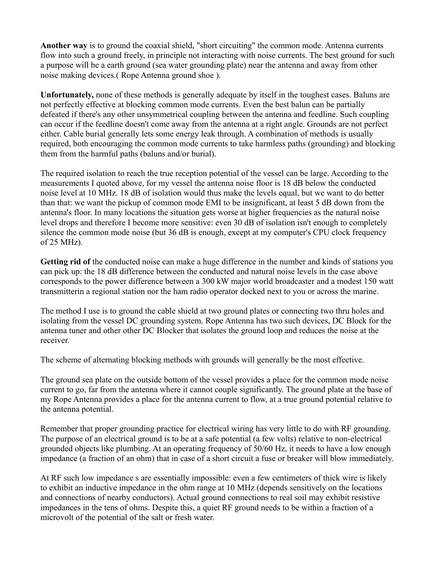**Another way** is to ground the coaxial shield, "short circuiting" the common mode. Antenna currents flow into such a ground freely, in principle not interacting with noise currents. The best ground for such a purpose will be a earth ground (sea water grounding plate) near the antenna and away from other noise making devices.( Rope Antenna ground shoe ).

**Unfortunately,** none of these methods is generally adequate by itself in the toughest cases. Baluns are not perfectly effective at blocking common mode currents. Even the best balun can be partially defeated if there's any other unsymmetrical coupling between the antenna and feedline. Such coupling can occur if the feedline doesn't come away from the antenna at a right angle. Grounds are not perfect either. Cable burial generally lets some energy leak through. A combination of methods is usually required, both encouraging the common mode currents to take harmless paths (grounding) and blocking them from the harmful paths (baluns and/or burial).

The required isolation to reach the true reception potential of the vessel can be large. According to the measurements I quoted above, for my vessel the antenna noise floor is 18 dB below the conducted noise level at 10 MHz. 18 dB of isolation would thus make the levels equal, but we want to do better than that: we want the pickup of common mode EMI to be insignificant, at least 5 dB down from the antenna's floor. In many locations the situation gets worse at higher frequencies as the natural noise level drops and therefore I become more sensitive: even 30 dB of isolation isn't enough to completely silence the common mode noise (but 36 dB is enough, except at my computer's CPU clock frequency of 25 MHz).

**Getting rid of** the conducted noise can make a huge difference in the number and kinds of stations you can pick up: the 18 dB difference between the conducted and natural noise levels in the case above corresponds to the power difference between a 300 kW major world broadcaster and a modest 150 watt transmitterin a regional station nor the ham radio operator docked next to you or across the marine.

The method I use is to ground the cable shield at two ground plates or connecting two thru holes and isolating from the vessel DC grounding system. Rope Antenna has two such devices, DC Block for the antenna tuner and other other DC Blocker that isolates the ground loop and reduces the noise at the receiver.

The scheme of alternating blocking methods with grounds will generally be the most effective.

The ground sea plate on the outside bottom of the vessel provides a place for the common mode noise current to go, far from the antenna where it cannot couple significantly. The ground plate at the base of my Rope Antenna provides a place for the antenna current to flow, at a true ground potential relative to the antenna potential.

Remember that proper grounding practice for electrical wiring has very little to do with RF grounding. The purpose of an electrical ground is to be at a safe potential (a few volts) relative to non-electrical grounded objects like plumbing. At an operating frequency of 50/60 Hz, it needs to have a low enough impedance (a fraction of an ohm) that in case of a short circuit a fuse or breaker will blow immediately.

At RF such low impedance s are essentially impossible: even a few centimeters of thick wire is likely to exhibit an inductive impedance in the ohm range at 10 MHz (depends sensitively on the locations and connections of nearby conductors). Actual ground connections to real soil may exhibit resistive impedances in the tens of ohms. Despite this, a quiet RF ground needs to be within a fraction of a microvolt of the potential of the salt or fresh water.